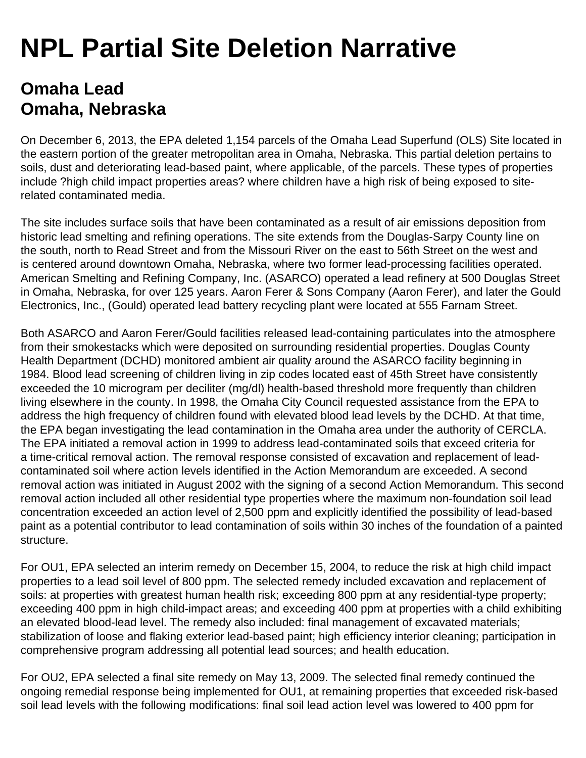## **NPL Partial Site Deletion Narrative**

## **Omaha Lead Omaha, Nebraska**

On December 6, 2013, the EPA deleted 1,154 parcels of the Omaha Lead Superfund (OLS) Site located in the eastern portion of the greater metropolitan area in Omaha, Nebraska. This partial deletion pertains to soils, dust and deteriorating lead-based paint, where applicable, of the parcels. These types of properties include ?high child impact properties areas? where children have a high risk of being exposed to siterelated contaminated media.

The site includes surface soils that have been contaminated as a result of air emissions deposition from historic lead smelting and refining operations. The site extends from the Douglas-Sarpy County line on the south, north to Read Street and from the Missouri River on the east to 56th Street on the west and is centered around downtown Omaha, Nebraska, where two former lead-processing facilities operated. American Smelting and Refining Company, Inc. (ASARCO) operated a lead refinery at 500 Douglas Street in Omaha, Nebraska, for over 125 years. Aaron Ferer & Sons Company (Aaron Ferer), and later the Gould Electronics, Inc., (Gould) operated lead battery recycling plant were located at 555 Farnam Street.

Both ASARCO and Aaron Ferer/Gould facilities released lead-containing particulates into the atmosphere from their smokestacks which were deposited on surrounding residential properties. Douglas County Health Department (DCHD) monitored ambient air quality around the ASARCO facility beginning in 1984. Blood lead screening of children living in zip codes located east of 45th Street have consistently exceeded the 10 microgram per deciliter (mg/dl) health-based threshold more frequently than children living elsewhere in the county. In 1998, the Omaha City Council requested assistance from the EPA to address the high frequency of children found with elevated blood lead levels by the DCHD. At that time, the EPA began investigating the lead contamination in the Omaha area under the authority of CERCLA. The EPA initiated a removal action in 1999 to address lead-contaminated soils that exceed criteria for a time-critical removal action. The removal response consisted of excavation and replacement of leadcontaminated soil where action levels identified in the Action Memorandum are exceeded. A second removal action was initiated in August 2002 with the signing of a second Action Memorandum. This second removal action included all other residential type properties where the maximum non-foundation soil lead concentration exceeded an action level of 2,500 ppm and explicitly identified the possibility of lead-based paint as a potential contributor to lead contamination of soils within 30 inches of the foundation of a painted structure.

For OU1, EPA selected an interim remedy on December 15, 2004, to reduce the risk at high child impact properties to a lead soil level of 800 ppm. The selected remedy included excavation and replacement of soils: at properties with greatest human health risk; exceeding 800 ppm at any residential-type property; exceeding 400 ppm in high child-impact areas; and exceeding 400 ppm at properties with a child exhibiting an elevated blood-lead level. The remedy also included: final management of excavated materials; stabilization of loose and flaking exterior lead-based paint; high efficiency interior cleaning; participation in comprehensive program addressing all potential lead sources; and health education.

For OU2, EPA selected a final site remedy on May 13, 2009. The selected final remedy continued the ongoing remedial response being implemented for OU1, at remaining properties that exceeded risk-based soil lead levels with the following modifications: final soil lead action level was lowered to 400 ppm for